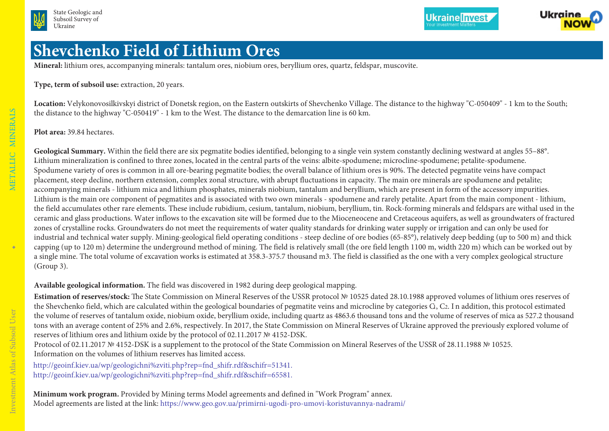



**Ukraine Invest** 

## **Shevchenko Field of Lithium Ores**

**Mineral:** lithium ores, accompanying minerals: tantalum ores, niobium ores, beryllium ores, quartz, feldspar, muscovite.

**Type, term of subsoil use:** extraction, 20 years.

**Location:** Velykonovosilkivskyi district of Donetsk region, on the Eastern outskirts of Shevchenko Village. The distance to the highway "C-050409" - 1 km to the South; the distance to the highway "C-050419" - 1 km to the West. The distance to the demarcation line is 60 km.

**Plot area:** 39.84 hectares.

Geological Summary. Within the field there are six pegmatite bodies identified, belonging to a single vein system constantly declining westward at angles 55-88°. -Lithium mineralization is confined to three zones, located in the central parts of the veins: albite-spodumene; microcline-spodumene; petalite-spodumene. Spodumene variety of ores is common in all ore-bearing pegmatite bodies; the overall balance of lithium ores is 90%. The detected pegmatite veins have compact placement, steep decline, northern extension, complex zonal structure, with abrupt fluctuations in capacity. The main ore minerals are spodumene and petalite; accompanying minerals - lithium mica and lithium phosphates, minerals niobium, tantalum and beryllium, which are present in form of the accessory impurities. Lithium is the main ore component of pegmatites and is associated with two own minerals - spodumene and rarely petalite. Apart from the main component - lithium, the field accumulates other rare elements. These include rubidium, cesium, tantalum, niobium, beryllium, tin. Rock-forming minerals and feldspars are withal used in the ceramic and glass productions. Water inflows to the excavation site will be formed due to the Mioceneocene and Cretaceous aquifers, as well as groundwaters of fractured zones of crystalline rocks. Groundwaters do not meet the requirements of water quality standards for drinking water supply or irrigation and can only be used for industrial and technical water supply. Mining-geological field operating conditions - steep decline of ore bodies (65-85°), relatively deep bedding (up to 500 m) and thick capping (up to 120 m) determine the underground method of mining. The field is relatively small (the ore field length 1100 m, width 220 m) which can be worked out by a single mine. The total volume of excavation works is estimated at 358.3-375.7 thousand m3. The field is classified as the one with a very complex geological structure (Group 3).

**Available geological information.** The field was discovered in 1982 during deep geological mapping.

**Estimation of reserves/stock:** The State Commission on Mineral Reserves of the USSR protocol № 10525 dated 28.10.1988 approved volumes of lithium ores reserves of the Shevchenko field, which are calculated within the geological boundaries of pegmatite veins and microcline by categories G, C2. In addition, this protocol estimated the volume of reserves of tantalum oxide, niobium oxide, beryllium oxide, including quartz as 4863.6 thousand tons and the volume of reserves of mica as 527.2 thousand tons with an average content of 25% and 2.6%, respectively. In 2017, the State Commission on Mineral Reserves of Ukraine approved the previously explored volume of reserves of lithium ores and lithium oxide by the protocol of 02.11.2017 № 4152-DSK.

Protocol of 02.11.2017 № 4152-DSK is a supplement to the protocol of the State Commission on Mineral Reserves of the USSR of 28.11.1988 № 10525. Information on the volumes of lithium reserves has limited access.

[http://geoinf.kiev.ua/wp/geologichni%zviti.php?rep=fnd\\_shifr.rdf&schifr=51341.](http://geoinf.kiev.ua/wp/geologichni-zviti.php?rep=fnd_shifr.rdf&schifr=51341) [http://geoinf.kiev.ua/wp/geologichni%zviti.php?rep=fnd\\_shifr.rdf&schifr=65581.](http://geoinf.kiev.ua/wp/geologichni-zviti.php?rep=fnd_shifr.rdf&schifr=65581)

**Minimum work program.** Provided by Mining terms Model agreements and defined in "Work Program" annex. Model agreements are listed at the link: <https://www.geo.gov.ua/primirni-ugodi-pro-umovi-koristuvannya-nadrami/>

 $\blacklozenge$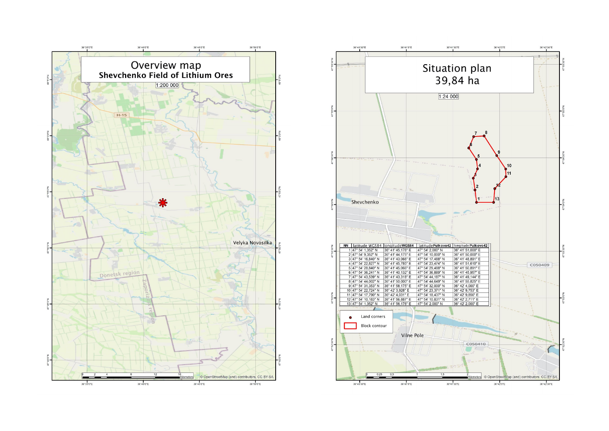